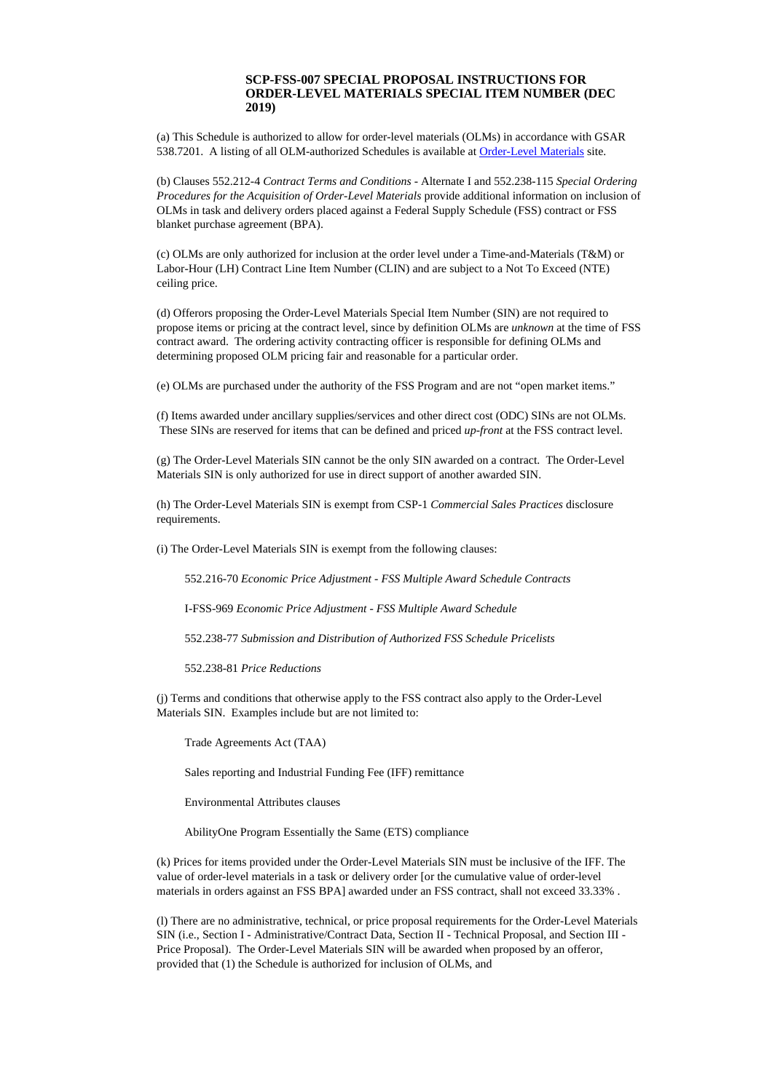## **SCP-FSS-007 SPECIAL PROPOSAL INSTRUCTIONS FOR ORDER-LEVEL MATERIALS SPECIAL ITEM NUMBER (DEC 2019)**

(a) This Schedule is authorized to allow for order-level materials (OLMs) in accordance with GSAR 538.7201. A listing of all OLM-authorized Schedules is available at [Order-Level](http://www.gsa.gov/olm) Materials site.

(b) Clauses 552.212-4 *Contract Terms and Conditions* - Alternate I and 552.238-115 *Special Ordering Procedures for the Acquisition of Order-Level Materials* provide additional information on inclusion of OLMs in task and delivery orders placed against a Federal Supply Schedule (FSS) contract or FSS blanket purchase agreement (BPA).

(c) OLMs are only authorized for inclusion at the order level under a Time-and-Materials (T&M) or Labor-Hour (LH) Contract Line Item Number (CLIN) and are subject to a Not To Exceed (NTE) ceiling price.

(d) Offerors proposing the Order-Level Materials Special Item Number (SIN) are not required to propose items or pricing at the contract level, since by definition OLMs are *unknown* at the time of FSS contract award. The ordering activity contracting officer is responsible for defining OLMs and determining proposed OLM pricing fair and reasonable for a particular order.

(e) OLMs are purchased under the authority of the FSS Program and are not "open market items."

(f) Items awarded under ancillary supplies/services and other direct cost (ODC) SINs are not OLMs. These SINs are reserved for items that can be defined and priced *up-front* at the FSS contract level.

(g) The Order-Level Materials SIN cannot be the only SIN awarded on a contract. The Order-Level Materials SIN is only authorized for use in direct support of another awarded SIN.

(h) The Order-Level Materials SIN is exempt from CSP-1 *Commercial Sales Practices* disclosure requirements.

(i) The Order-Level Materials SIN is exempt from the following clauses:

552.216-70 *Economic Price Adjustment - FSS Multiple Award Schedule Contracts*

I-FSS-969 *Economic Price Adjustment - FSS Multiple Award Schedule*

552.238-77 *Submission and Distribution of Authorized FSS Schedule Pricelists*

552.238-81 *Price Reductions*

(j) Terms and conditions that otherwise apply to the FSS contract also apply to the Order-Level Materials SIN. Examples include but are not limited to:

Trade Agreements Act (TAA)

Sales reporting and Industrial Funding Fee (IFF) remittance

Environmental Attributes clauses

AbilityOne Program Essentially the Same (ETS) compliance

(k) Prices for items provided under the Order-Level Materials SIN must be inclusive of the IFF. The value of order-level materials in a task or delivery order [or the cumulative value of order-level materials in orders against an FSS BPA] awarded under an FSS contract, shall not exceed 33.33% .

(l) There are no administrative, technical, or price proposal requirements for the Order-Level Materials SIN (i.e., Section I - Administrative/Contract Data, Section II - Technical Proposal, and Section III - Price Proposal). The Order-Level Materials SIN will be awarded when proposed by an offeror, provided that (1) the Schedule is authorized for inclusion of OLMs, and